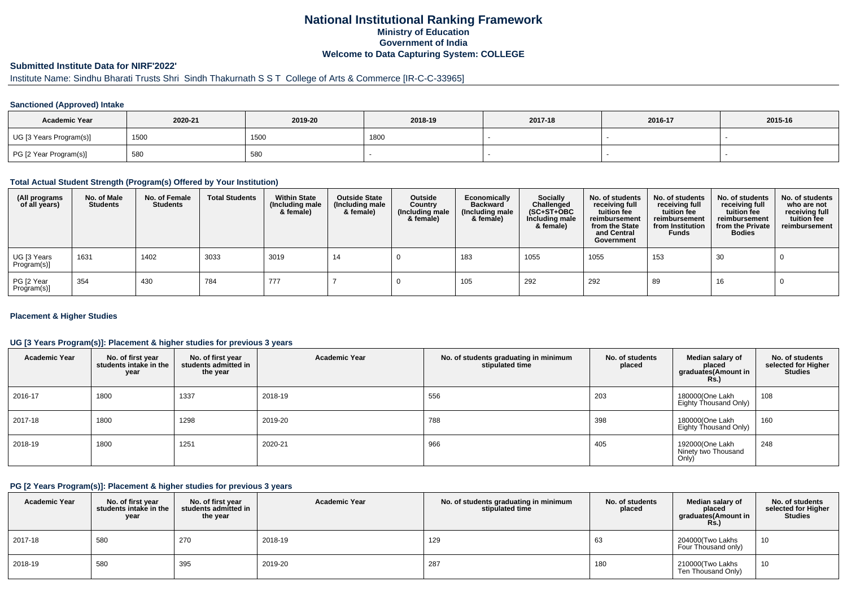## **National Institutional Ranking FrameworkMinistry of Education Government of IndiaWelcome to Data Capturing System: COLLEGE**

# **Submitted Institute Data for NIRF'2022'**

# Institute Name: Sindhu Bharati Trusts Shri Sindh Thakurnath S S T College of Arts & Commerce [IR-C-C-33965]

### **Sanctioned (Approved) Intake**

| <b>Academic Year</b>    | 2020-21 | 2019-20 | 2018-19 | 2017-18 | 2016-17 | 2015-16 |
|-------------------------|---------|---------|---------|---------|---------|---------|
| UG [3 Years Program(s)] | 1500    | 1500    | 1800    |         |         |         |
| PG [2 Year Program(s)]  | 580     | 580     |         |         |         |         |

#### **Total Actual Student Strength (Program(s) Offered by Your Institution)**

| (All programs<br>of all years) | No. of Male<br><b>Students</b> | No. of Female<br>Students | <b>Total Students</b> | <b>Within State</b><br>(Including male<br>& female) | <b>Outside State</b><br>(Including male<br>& female) | Outside<br>Country<br>(Including male<br>& female) | Economically<br><b>Backward</b><br>(Including male<br>& female) | Socially<br>Challenged<br>$(SC+ST+OBC)$<br>Including male<br>& female) | No. of students<br>receiving full<br>tuition fee<br>reimbursement<br>from the State<br>and Central<br>Government | No. of students<br>receiving full<br>tuition fee<br>reimbursement<br>from Institution<br><b>Funds</b> | No. of students<br>receiving full<br>tuition fee<br>reimbursement<br>from the Private<br><b>Bodies</b> | No. of students<br>who are not<br>receiving full<br>tuition fee<br>reimbursement |
|--------------------------------|--------------------------------|---------------------------|-----------------------|-----------------------------------------------------|------------------------------------------------------|----------------------------------------------------|-----------------------------------------------------------------|------------------------------------------------------------------------|------------------------------------------------------------------------------------------------------------------|-------------------------------------------------------------------------------------------------------|--------------------------------------------------------------------------------------------------------|----------------------------------------------------------------------------------|
| UG [3 Years<br>Program(s)]     | 1631                           | 1402                      | 3033                  | 3019                                                | 14                                                   |                                                    | 183                                                             | 1055                                                                   | 1055                                                                                                             | 153                                                                                                   | 30                                                                                                     |                                                                                  |
| PG [2 Year<br>Program(s)]      | 354                            | 430                       | 784                   | 777                                                 |                                                      |                                                    | 105                                                             | 292                                                                    | 292                                                                                                              | 89                                                                                                    | 16                                                                                                     |                                                                                  |

### **Placement & Higher Studies**

### **UG [3 Years Program(s)]: Placement & higher studies for previous 3 years**

| <b>Academic Year</b> | No. of first year<br>students intake in the<br>year | No. of first year<br>students admitted in<br>the year | <b>Academic Year</b> | No. of students graduating in minimum<br>stipulated time | No. of students<br>placed | Median salary of<br>placed<br>graduates(Amount in<br>Rs. | No. of students<br>selected for Higher<br><b>Studies</b> |
|----------------------|-----------------------------------------------------|-------------------------------------------------------|----------------------|----------------------------------------------------------|---------------------------|----------------------------------------------------------|----------------------------------------------------------|
| 2016-17              | 1800                                                | 1337                                                  | 2018-19              | 556                                                      | 203                       | 180000(One Lakh<br>Eighty Thousand Only)                 | 108                                                      |
| 2017-18              | 1800                                                | 1298                                                  | 2019-20              | 788                                                      | 398                       | 180000(One Lakh<br>Eighty Thousand Only)                 | 160                                                      |
| 2018-19              | 1800                                                | 1251                                                  | 2020-21              | 966                                                      | 405                       | 192000(One Lakh<br>Ninety two Thousand<br>Only)          | 248                                                      |

#### **PG [2 Years Program(s)]: Placement & higher studies for previous 3 years**

| <b>Academic Year</b> | No. of first year<br>students intake in the<br>year | No. of first vear<br>students admitted in<br>the year | <b>Academic Year</b> | No. of students graduating in minimum<br>stipulated time | No. of students<br>placed | Median salary of<br>placed<br>graduates(Amount in<br><b>Rs.)</b> | No. of students<br>selected for Higher<br><b>Studies</b> |
|----------------------|-----------------------------------------------------|-------------------------------------------------------|----------------------|----------------------------------------------------------|---------------------------|------------------------------------------------------------------|----------------------------------------------------------|
| 2017-18              | 580                                                 | 270                                                   | 2018-19              | 129                                                      | 63                        | 204000(Two Lakhs<br>Four Thousand only)                          | 10                                                       |
| 2018-19              | 580                                                 | 395                                                   | 2019-20              | 287                                                      | 180                       | 210000(Two Lakhs<br>Ten Thousand Only)                           | 10                                                       |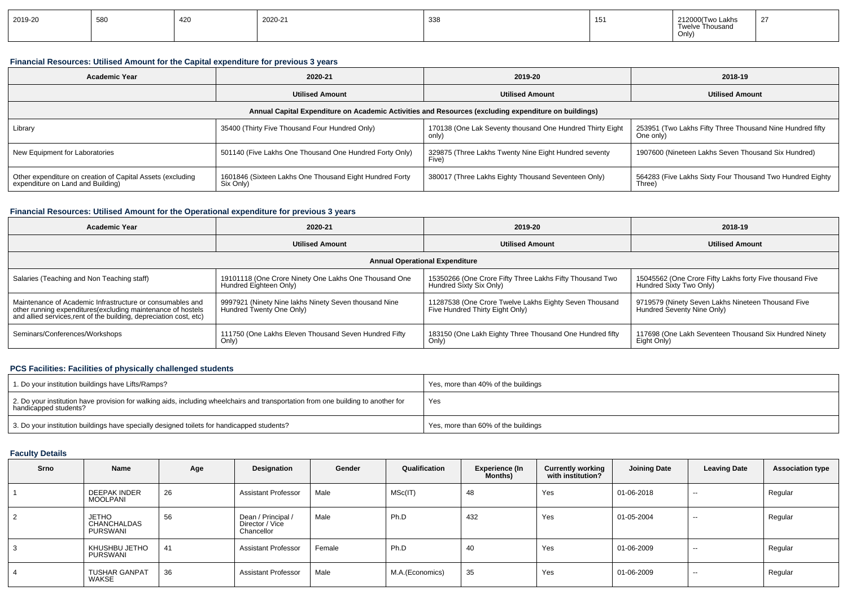| 2019-20 | 580 | $\sqrt{2}$<br>44 J | 2020-21 | 338 | $\rightarrow$<br>∣◡ | 212000(Two Lakhs<br>$\sim$<br>Twelve Thousand<br>Only,<br>. | $\sim$ |
|---------|-----|--------------------|---------|-----|---------------------|-------------------------------------------------------------|--------|
|---------|-----|--------------------|---------|-----|---------------------|-------------------------------------------------------------|--------|

## **Financial Resources: Utilised Amount for the Capital expenditure for previous 3 years**

| <b>Academic Year</b>                                                                                 | 2020-21                                                              | 2019-20                                                            | 2018-19                                                                |  |  |  |  |  |  |
|------------------------------------------------------------------------------------------------------|----------------------------------------------------------------------|--------------------------------------------------------------------|------------------------------------------------------------------------|--|--|--|--|--|--|
|                                                                                                      | <b>Utilised Amount</b>                                               | <b>Utilised Amount</b>                                             | <b>Utilised Amount</b>                                                 |  |  |  |  |  |  |
| Annual Capital Expenditure on Academic Activities and Resources (excluding expenditure on buildings) |                                                                      |                                                                    |                                                                        |  |  |  |  |  |  |
| Library                                                                                              | 35400 (Thirty Five Thousand Four Hundred Only)                       | 170138 (One Lak Seventy thousand One Hundred Thirty Eight<br>only) | 253951 (Two Lakhs Fifty Three Thousand Nine Hundred fifty<br>One only) |  |  |  |  |  |  |
| New Equipment for Laboratories                                                                       | 501140 (Five Lakhs One Thousand One Hundred Forty Only)              | 329875 (Three Lakhs Twenty Nine Eight Hundred seventy<br>Five)     | 1907600 (Nineteen Lakhs Seven Thousand Six Hundred)                    |  |  |  |  |  |  |
| Other expenditure on creation of Capital Assets (excluding<br>expenditure on Land and Building)      | 1601846 (Sixteen Lakhs One Thousand Eight Hundred Forty<br>Six Only) | 380017 (Three Lakhs Eighty Thousand Seventeen Only)                | 564283 (Five Lakhs Sixty Four Thousand Two Hundred Eighty<br>Three)    |  |  |  |  |  |  |

## **Financial Resources: Utilised Amount for the Operational expenditure for previous 3 years**

| 2020-21<br><b>Academic Year</b>                                                                                                                                                                |                                                                                   | 2019-20                                                                                   | 2018-19                                                                             |
|------------------------------------------------------------------------------------------------------------------------------------------------------------------------------------------------|-----------------------------------------------------------------------------------|-------------------------------------------------------------------------------------------|-------------------------------------------------------------------------------------|
|                                                                                                                                                                                                | <b>Utilised Amount</b>                                                            | <b>Utilised Amount</b>                                                                    | <b>Utilised Amount</b>                                                              |
|                                                                                                                                                                                                |                                                                                   | <b>Annual Operational Expenditure</b>                                                     |                                                                                     |
| Salaries (Teaching and Non Teaching staff)                                                                                                                                                     | 19101118 (One Crore Ninety One Lakhs One Thousand One<br>Hundred Eighteen Only)   | 15350266 (One Crore Fifty Three Lakhs Fifty Thousand Two<br>Hundred Sixty Six Only)       | 15045562 (One Crore Fifty Lakhs forty Five thousand Five<br>Hundred Sixty Two Only) |
| Maintenance of Academic Infrastructure or consumables and<br>other running expenditures(excluding maintenance of hostels<br>and allied services, rent of the building, depreciation cost, etc) | 9997921 (Ninety Nine lakhs Ninety Seven thousand Nine<br>Hundred Twenty One Only) | 11287538 (One Crore Twelve Lakhs Eighty Seven Thousand<br>Five Hundred Thirty Eight Only) | 9719579 (Ninety Seven Lakhs Nineteen Thousand Five<br>Hundred Seventy Nine Only)    |
| Seminars/Conferences/Workshops                                                                                                                                                                 | 111750 (One Lakhs Eleven Thousand Seven Hundred Fifty<br>Only)                    | 183150 (One Lakh Eighty Three Thousand One Hundred fifty<br>Only)                         | 117698 (One Lakh Seventeen Thousand Six Hundred Ninety<br>Eight Only)               |

## **PCS Facilities: Facilities of physically challenged students**

| 1. Do your institution buildings have Lifts/Ramps?                                                                                                         | Yes, more than 40% of the buildings |
|------------------------------------------------------------------------------------------------------------------------------------------------------------|-------------------------------------|
| 2. Do your institution have provision for walking aids, including wheelchairs and transportation from one building to another for<br>handicapped students? | Yes                                 |
| 3. Do your institution buildings have specially designed toilets for handicapped students?                                                                 | Yes, more than 60% of the buildings |

### **Faculty Details**

| Srno | Name                                                  | Age | Designation                                         | Gender | Qualification   | <b>Experience (In</b><br><b>Months)</b> | <b>Currently working<br/>with institution?</b> | <b>Joining Date</b> | <b>Leaving Date</b> | <b>Association type</b> |
|------|-------------------------------------------------------|-----|-----------------------------------------------------|--------|-----------------|-----------------------------------------|------------------------------------------------|---------------------|---------------------|-------------------------|
|      | <b>DEEPAK INDER</b><br><b>MOOLPANI</b>                | 26  | <b>Assistant Professor</b>                          | Male   | MSc(IT)         | 48                                      | Yes                                            | 01-06-2018          | $-$                 | Regular                 |
| 2    | <b>JETHO</b><br><b>CHANCHALDAS</b><br><b>PURSWANI</b> | 56  | Dean / Principal /<br>Director / Vice<br>Chancellor | Male   | Ph.D            | 432                                     | Yes                                            | 01-05-2004          | $-$                 | Regular                 |
| 3    | KHUSHBU JETHO<br>PURSWANI                             | 41  | <b>Assistant Professor</b>                          | Female | Ph.D            | 40                                      | Yes                                            | 01-06-2009          | $-$                 | Regular                 |
| 4    | <b>TUSHAR GANPAT</b><br>WAKSE                         | 36  | <b>Assistant Professor</b>                          | Male   | M.A.(Economics) | 35                                      | Yes                                            | 01-06-2009          | $-$                 | Regular                 |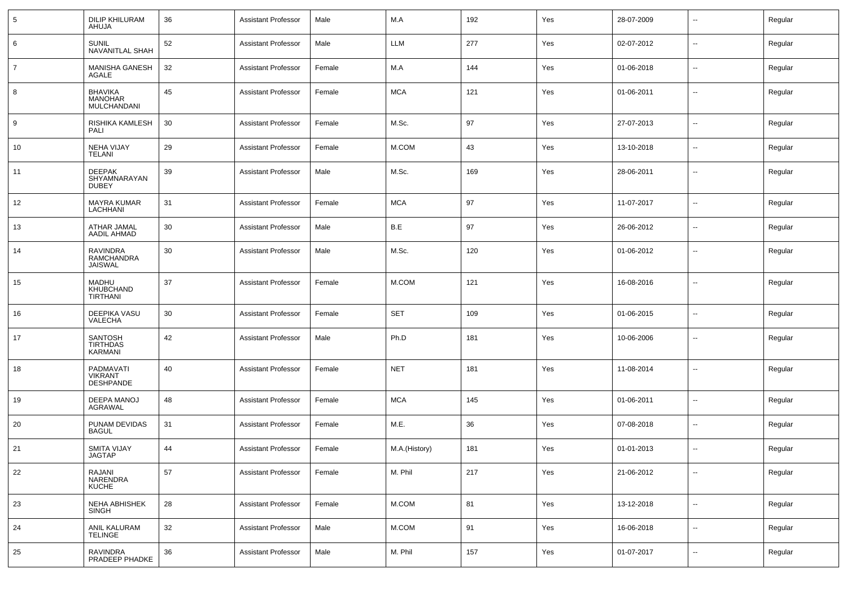| 5  | <b>DILIP KHILURAM</b><br>AHUJA                  | 36 | <b>Assistant Professor</b> | Male   | M.A           | 192 | Yes | 28-07-2009 | $\sim$                   | Regular |
|----|-------------------------------------------------|----|----------------------------|--------|---------------|-----|-----|------------|--------------------------|---------|
| 6  | <b>SUNIL</b><br><b>NAVANITLAL SHAH</b>          | 52 | <b>Assistant Professor</b> | Male   | <b>LLM</b>    | 277 | Yes | 02-07-2012 | $\sim$                   | Regular |
| 7  | MANISHA GANESH<br><b>AGALE</b>                  | 32 | <b>Assistant Professor</b> | Female | M.A           | 144 | Yes | 01-06-2018 | $\sim$                   | Regular |
| 8  | <b>BHAVIKA</b><br><b>MANOHAR</b><br>MULCHANDANI | 45 | <b>Assistant Professor</b> | Female | <b>MCA</b>    | 121 | Yes | 01-06-2011 | $\sim$                   | Regular |
| 9  | RISHIKA KAMLESH<br>PALI                         | 30 | <b>Assistant Professor</b> | Female | M.Sc.         | 97  | Yes | 27-07-2013 | $\overline{\phantom{a}}$ | Regular |
| 10 | <b>NEHA VIJAY</b><br>TELANI                     | 29 | <b>Assistant Professor</b> | Female | M.COM         | 43  | Yes | 13-10-2018 | $\sim$                   | Regular |
| 11 | <b>DEEPAK</b><br>SHYAMNARAYAN<br><b>DUBEY</b>   | 39 | <b>Assistant Professor</b> | Male   | M.Sc.         | 169 | Yes | 28-06-2011 | $\overline{\phantom{a}}$ | Regular |
| 12 | <b>MAYRA KUMAR</b><br><b>LACHHANI</b>           | 31 | <b>Assistant Professor</b> | Female | <b>MCA</b>    | 97  | Yes | 11-07-2017 | $\overline{\phantom{a}}$ | Regular |
| 13 | ATHAR JAMAL<br><b>AADIL AHMAD</b>               | 30 | <b>Assistant Professor</b> | Male   | B.E           | 97  | Yes | 26-06-2012 | $\overline{a}$           | Regular |
| 14 | <b>RAVINDRA</b><br>RAMCHANDRA<br><b>JAISWAL</b> | 30 | <b>Assistant Professor</b> | Male   | M.Sc.         | 120 | Yes | 01-06-2012 | $\overline{\phantom{a}}$ | Regular |
| 15 | MADHU<br>KHUBCHAND<br><b>TIRTHANI</b>           | 37 | <b>Assistant Professor</b> | Female | M.COM         | 121 | Yes | 16-08-2016 | --                       | Regular |
| 16 | DEEPIKA VASU<br>VALECHA                         | 30 | <b>Assistant Professor</b> | Female | <b>SET</b>    | 109 | Yes | 01-06-2015 | $\overline{\phantom{a}}$ | Regular |
| 17 | <b>SANTOSH</b><br><b>TIRTHDAS</b><br>KARMANI    | 42 | <b>Assistant Professor</b> | Male   | Ph.D          | 181 | Yes | 10-06-2006 | --                       | Regular |
| 18 | PADMAVATI<br><b>VIKRANT</b><br><b>DESHPANDE</b> | 40 | <b>Assistant Professor</b> | Female | <b>NET</b>    | 181 | Yes | 11-08-2014 | $\overline{\phantom{a}}$ | Regular |
| 19 | DEEPA MANOJ<br><b>AGRAWAL</b>                   | 48 | <b>Assistant Professor</b> | Female | <b>MCA</b>    | 145 | Yes | 01-06-2011 | $\sim$                   | Regular |
| 20 | PUNAM DEVIDAS<br><b>BAGUL</b>                   | 31 | <b>Assistant Professor</b> | Female | M.E.          | 36  | Yes | 07-08-2018 | $\sim$                   | Regular |
| 21 | <b>SMITA VIJAY</b><br>JAGTAP                    | 44 | <b>Assistant Professor</b> | Female | M.A.(History) | 181 | Yes | 01-01-2013 | $\sim$                   | Regular |
| 22 | RAJANI<br>NARENDRA<br><b>KUCHE</b>              | 57 | <b>Assistant Professor</b> | Female | M. Phil       | 217 | Yes | 21-06-2012 | $\sim$                   | Regular |
| 23 | NEHA ABHISHEK<br><b>SINGH</b>                   | 28 | Assistant Professor        | Female | $M.$ COM      | 81  | Yes | 13-12-2018 | Ξ.                       | Regular |
| 24 | ANIL KALURAM<br><b>TELINGE</b>                  | 32 | Assistant Professor        | Male   | $M.$ COM      | 91  | Yes | 16-06-2018 | $\sim$                   | Regular |
| 25 | RAVINDRA<br>PRADEEP PHADKE                      | 36 | <b>Assistant Professor</b> | Male   | M. Phil       | 157 | Yes | 01-07-2017 | Ξ.                       | Regular |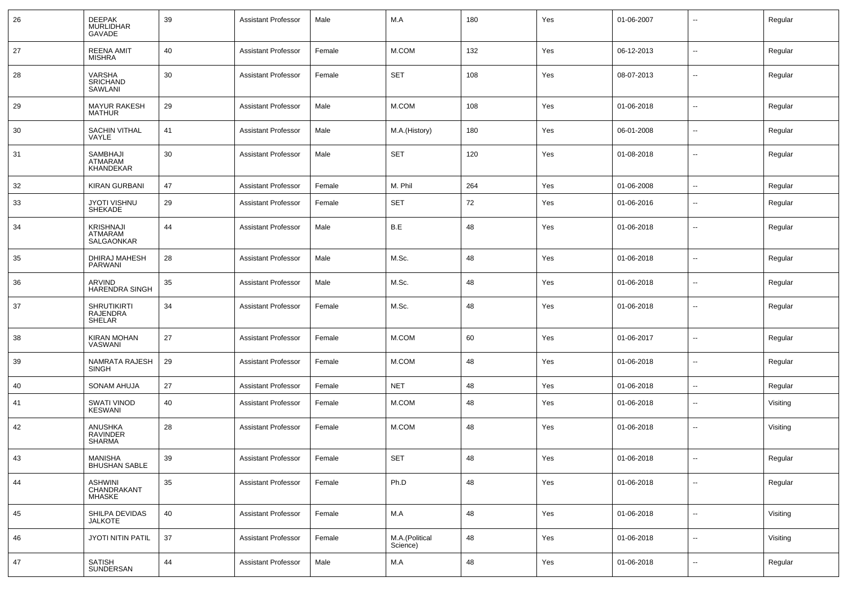| 26 | <b>DEEPAK</b><br><b>MURLIDHAR</b><br>GAVADE            | 39 | <b>Assistant Professor</b> | Male   | M.A                        | 180 | Yes | 01-06-2007 | $\sim$                   | Regular  |
|----|--------------------------------------------------------|----|----------------------------|--------|----------------------------|-----|-----|------------|--------------------------|----------|
| 27 | <b>REENA AMIT</b><br><b>MISHRA</b>                     | 40 | <b>Assistant Professor</b> | Female | M.COM                      | 132 | Yes | 06-12-2013 | $\sim$                   | Regular  |
| 28 | VARSHA<br><b>SRICHAND</b><br>SAWLANI                   | 30 | <b>Assistant Professor</b> | Female | <b>SET</b>                 | 108 | Yes | 08-07-2013 | $\overline{\phantom{a}}$ | Regular  |
| 29 | <b>MAYUR RAKESH</b><br><b>MATHUR</b>                   | 29 | <b>Assistant Professor</b> | Male   | M.COM                      | 108 | Yes | 01-06-2018 | $\sim$                   | Regular  |
| 30 | SACHIN VITHAL<br>VAYLE                                 | 41 | <b>Assistant Professor</b> | Male   | M.A.(History)              | 180 | Yes | 06-01-2008 | $\sim$                   | Regular  |
| 31 | SAMBHAJI<br>ATMARAM<br>KHANDEKAR                       | 30 | <b>Assistant Professor</b> | Male   | <b>SET</b>                 | 120 | Yes | 01-08-2018 | $\sim$                   | Regular  |
| 32 | <b>KIRAN GURBANI</b>                                   | 47 | <b>Assistant Professor</b> | Female | M. Phil                    | 264 | Yes | 01-06-2008 | $\overline{\phantom{a}}$ | Regular  |
| 33 | <b>JYOTI VISHNU</b><br><b>SHEKADE</b>                  | 29 | <b>Assistant Professor</b> | Female | <b>SET</b>                 | 72  | Yes | 01-06-2016 | $\sim$                   | Regular  |
| 34 | <b>KRISHNAJI</b><br>ATMARAM<br>SALGAONKAR              | 44 | <b>Assistant Professor</b> | Male   | B.E                        | 48  | Yes | 01-06-2018 | $\sim$                   | Regular  |
| 35 | DHIRAJ MAHESH<br>PARWANI                               | 28 | <b>Assistant Professor</b> | Male   | M.Sc.                      | 48  | Yes | 01-06-2018 | --                       | Regular  |
| 36 | ARVIND<br><b>HARENDRA SINGH</b>                        | 35 | <b>Assistant Professor</b> | Male   | M.Sc.                      | 48  | Yes | 01-06-2018 | --                       | Regular  |
| 37 | <b>SHRUTIKIRTI</b><br><b>RAJENDRA</b><br><b>SHELAR</b> | 34 | <b>Assistant Professor</b> | Female | M.Sc.                      | 48  | Yes | 01-06-2018 | $\overline{\phantom{a}}$ | Regular  |
| 38 | <b>KIRAN MOHAN</b><br>VASWANI                          | 27 | <b>Assistant Professor</b> | Female | M.COM                      | 60  | Yes | 01-06-2017 | $\overline{\phantom{a}}$ | Regular  |
| 39 | NAMRATA RAJESH<br><b>SINGH</b>                         | 29 | <b>Assistant Professor</b> | Female | M.COM                      | 48  | Yes | 01-06-2018 | $\overline{\phantom{a}}$ | Regular  |
| 40 | <b>SONAM AHUJA</b>                                     | 27 | <b>Assistant Professor</b> | Female | <b>NET</b>                 | 48  | Yes | 01-06-2018 | $\overline{\phantom{a}}$ | Regular  |
| 41 | SWATI VINOD<br><b>KESWANI</b>                          | 40 | <b>Assistant Professor</b> | Female | M.COM                      | 48  | Yes | 01-06-2018 | $\overline{\phantom{a}}$ | Visiting |
| 42 | ANUSHKA<br><b>RAVINDER</b><br><b>SHARMA</b>            | 28 | <b>Assistant Professor</b> | Female | M.COM                      | 48  | Yes | 01-06-2018 | $\sim$                   | Visiting |
| 43 | <b>MANISHA</b><br><b>BHUSHAN SABLE</b>                 | 39 | <b>Assistant Professor</b> | Female | <b>SET</b>                 | 48  | Yes | 01-06-2018 | $\sim$                   | Regular  |
| 44 | <b>ASHWINI</b><br>CHANDRAKANT<br><b>MHASKE</b>         | 35 | <b>Assistant Professor</b> | Female | Ph.D                       | 48  | Yes | 01-06-2018 | $\overline{\phantom{a}}$ | Regular  |
| 45 | SHILPA DEVIDAS<br><b>JALKOTE</b>                       | 40 | <b>Assistant Professor</b> | Female | M.A                        | 48  | Yes | 01-06-2018 | Ξ.                       | Visiting |
| 46 | JYOTI NITIN PATIL                                      | 37 | <b>Assistant Professor</b> | Female | M.A.(Political<br>Science) | 48  | Yes | 01-06-2018 | $\sim$                   | Visiting |
| 47 | <b>SATISH</b><br>SUNDERSAN                             | 44 | <b>Assistant Professor</b> | Male   | M.A                        | 48  | Yes | 01-06-2018 | $\overline{\phantom{a}}$ | Regular  |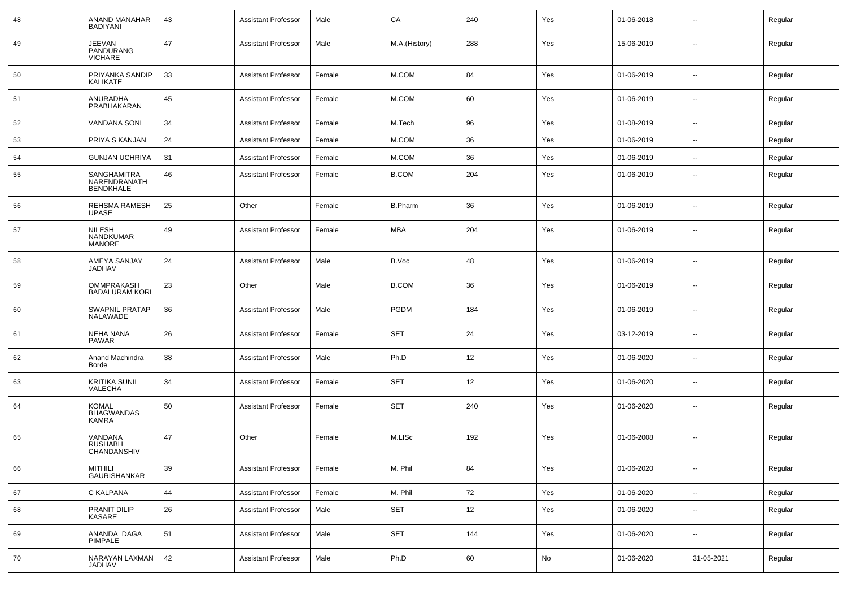| 48 | ANAND MANAHAR<br><b>BADIYANI</b>                | 43 | <b>Assistant Professor</b> | Male   | CA             | 240 | Yes | 01-06-2018 | $\overline{\phantom{a}}$ | Regular |
|----|-------------------------------------------------|----|----------------------------|--------|----------------|-----|-----|------------|--------------------------|---------|
| 49 | <b>JEEVAN</b><br>PANDURANG<br><b>VICHARE</b>    | 47 | <b>Assistant Professor</b> | Male   | M.A.(History)  | 288 | Yes | 15-06-2019 | $\mathbf{u}$             | Regular |
| 50 | PRIYANKA SANDIP<br>KALIKATE                     | 33 | <b>Assistant Professor</b> | Female | M.COM          | 84  | Yes | 01-06-2019 | $\mathbf{u}$             | Regular |
| 51 | ANURADHA<br>PRABHAKARAN                         | 45 | <b>Assistant Professor</b> | Female | M.COM          | 60  | Yes | 01-06-2019 | $\mathbf{u}$             | Regular |
| 52 | <b>VANDANA SONI</b>                             | 34 | <b>Assistant Professor</b> | Female | M.Tech         | 96  | Yes | 01-08-2019 | $\overline{\phantom{a}}$ | Regular |
| 53 | PRIYA S KANJAN                                  | 24 | Assistant Professor        | Female | M.COM          | 36  | Yes | 01-06-2019 | $\sim$                   | Regular |
| 54 | <b>GUNJAN UCHRIYA</b>                           | 31 | <b>Assistant Professor</b> | Female | M.COM          | 36  | Yes | 01-06-2019 | --                       | Regular |
| 55 | SANGHAMITRA<br>NARENDRANATH<br><b>BENDKHALE</b> | 46 | <b>Assistant Professor</b> | Female | <b>B.COM</b>   | 204 | Yes | 01-06-2019 | $\overline{\phantom{a}}$ | Regular |
| 56 | REHSMA RAMESH<br><b>UPASE</b>                   | 25 | Other                      | Female | <b>B.Pharm</b> | 36  | Yes | 01-06-2019 | $\overline{a}$           | Regular |
| 57 | <b>NILESH</b><br>NANDKUMAR<br><b>MANORE</b>     | 49 | <b>Assistant Professor</b> | Female | <b>MBA</b>     | 204 | Yes | 01-06-2019 | $-$                      | Regular |
| 58 | AMEYA SANJAY<br>JADHAV                          | 24 | <b>Assistant Professor</b> | Male   | B.Voc          | 48  | Yes | 01-06-2019 | $\mathbf{u}$             | Regular |
| 59 | OMMPRAKASH<br><b>BADALURAM KORI</b>             | 23 | Other                      | Male   | <b>B.COM</b>   | 36  | Yes | 01-06-2019 | $\mathbf{u}$             | Regular |
| 60 | SWAPNIL PRATAP<br>NALAWADE                      | 36 | <b>Assistant Professor</b> | Male   | <b>PGDM</b>    | 184 | Yes | 01-06-2019 | $\sim$                   | Regular |
| 61 | <b>NEHA NANA</b><br><b>PAWAR</b>                | 26 | <b>Assistant Professor</b> | Female | <b>SET</b>     | 24  | Yes | 03-12-2019 | $\mathbf{u}$             | Regular |
| 62 | Anand Machindra<br>Borde                        | 38 | <b>Assistant Professor</b> | Male   | Ph.D           | 12  | Yes | 01-06-2020 | $\sim$                   | Regular |
| 63 | <b>KRITIKA SUNIL</b><br>VALECHA                 | 34 | <b>Assistant Professor</b> | Female | <b>SET</b>     | 12  | Yes | 01-06-2020 | $\mathbf{u}$             | Regular |
| 64 | <b>KOMAL</b><br><b>BHAGWANDAS</b><br>KAMRA      | 50 | <b>Assistant Professor</b> | Female | <b>SET</b>     | 240 | Yes | 01-06-2020 | $\mathbf{u}$             | Regular |
| 65 | VANDANA<br><b>RUSHABH</b><br>CHANDANSHIV        | 47 | Other                      | Female | M.LISc         | 192 | Yes | 01-06-2008 | $\mathbf{u}$             | Regular |
| 66 | <b>MITHILI</b><br>GAURISHANKAR                  | 39 | <b>Assistant Professor</b> | Female | M. Phil        | 84  | Yes | 01-06-2020 | $\sim$                   | Regular |
| 67 | C KALPANA                                       | 44 | <b>Assistant Professor</b> | Female | M. Phil        | 72  | Yes | 01-06-2020 | $\sim$                   | Regular |
| 68 | PRANIT DILIP<br>KASARE                          | 26 | <b>Assistant Professor</b> | Male   | <b>SET</b>     | 12  | Yes | 01-06-2020 | $\sim$                   | Regular |
| 69 | ANANDA DAGA<br>PIMPALE                          | 51 | <b>Assistant Professor</b> | Male   | <b>SET</b>     | 144 | Yes | 01-06-2020 | $\sim$                   | Regular |
| 70 | NARAYAN LAXMAN<br>JADHAV                        | 42 | <b>Assistant Professor</b> | Male   | Ph.D           | 60  | No  | 01-06-2020 | 31-05-2021               | Regular |